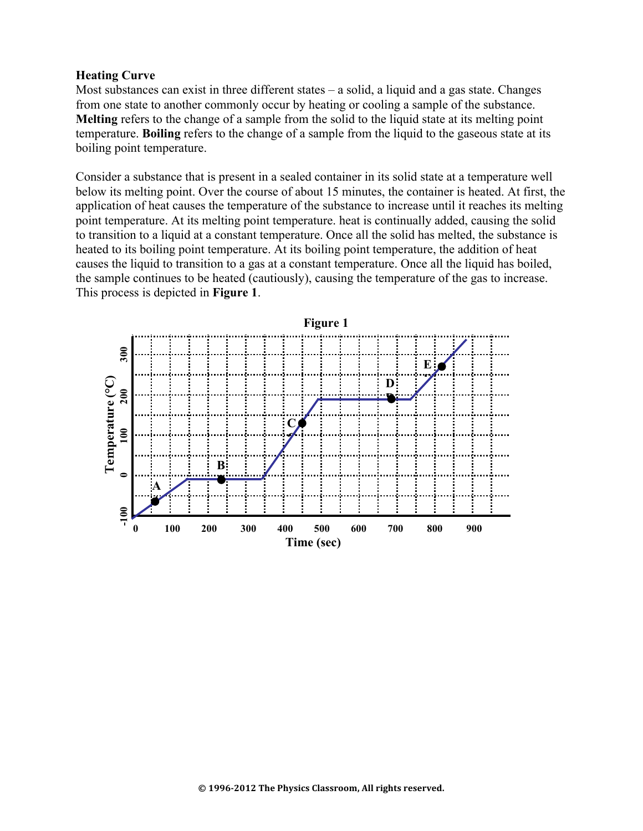## **Heating Curve**

Most substances can exist in three different states  $-$  a solid, a liquid and a gas state. Changes from one state to another commonly occur by heating or cooling a sample of the substance. **Melting** refers to the change of a sample from the solid to the liquid state at its melting point temperature. **Boiling** refers to the change of a sample from the liquid to the gaseous state at its boiling point temperature.

Consider a substance that is present in a sealed container in its solid state at a temperature well below its melting point. Over the course of about 15 minutes, the container is heated. At first, the application of heat causes the temperature of the substance to increase until it reaches its melting point temperature. At its melting point temperature. heat is continually added, causing the solid to transition to a liquid at a constant temperature. Once all the solid has melted, the substance is heated to its boiling point temperature. At its boiling point temperature, the addition of heat causes the liquid to transition to a gas at a constant temperature. Once all the liquid has boiled, the sample continues to be heated (cautiously), causing the temperature of the gas to increase. This process is depicted in **Figure 1**.

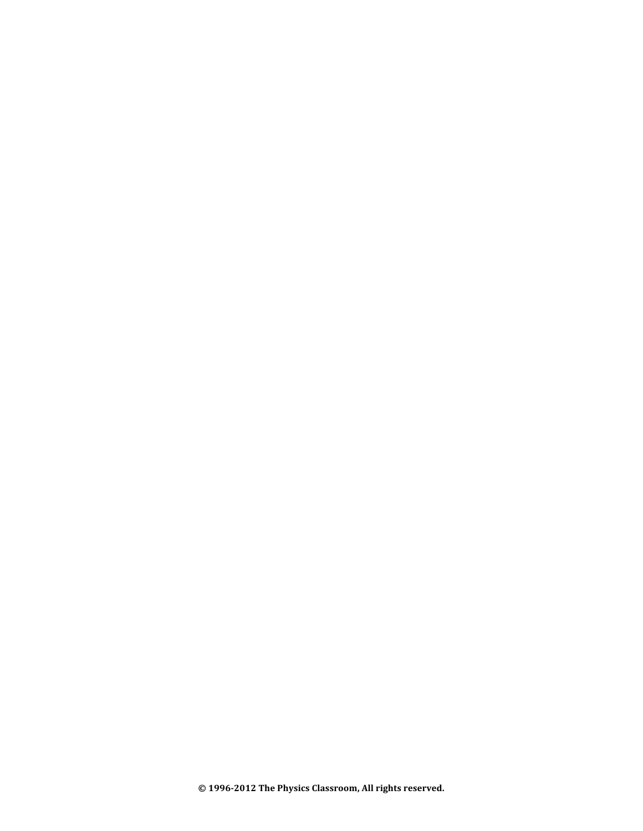$© 1996-2012$  The Physics Classroom, All rights reserved.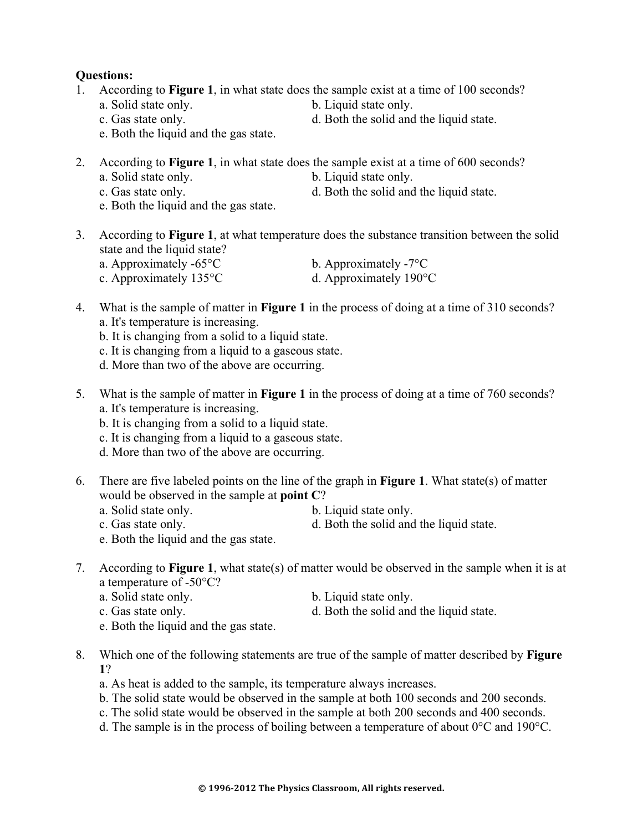## **Questions:**

- 1. According to **Figure 1**, in what state does the sample exist at a time of 100 seconds? a. Solid state only. b. Liquid state only.
	-
- 
- c. Gas state only. d. Both the solid and the liquid state.
- e. Both the liquid and the gas state.
- 2. According to **Figure 1**, in what state does the sample exist at a time of 600 seconds? a. Solid state only. b. Liquid state only.
	- c. Gas state only. d. Both the solid and the liquid state.
	- e. Both the liquid and the gas state.
- 
- 
- 3. According to **Figure 1**, at what temperature does the substance transition between the solid state and the liquid state?
	- a. Approximately  $-65^{\circ}$ C b. Approximately  $-7^{\circ}$ C
	- c. Approximately  $135^{\circ}$ C d. Approximately  $190^{\circ}$ C
- 4. What is the sample of matter in **Figure 1** in the process of doing at a time of 310 seconds? a. It's temperature is increasing.
	- b. It is changing from a solid to a liquid state.
	- c. It is changing from a liquid to a gaseous state.
	- d. More than two of the above are occurring.
- 5. What is the sample of matter in **Figure 1** in the process of doing at a time of 760 seconds? a. It's temperature is increasing.
	- b. It is changing from a solid to a liquid state.
	- c. It is changing from a liquid to a gaseous state.
	- d. More than two of the above are occurring.
- 6. There are five labeled points on the line of the graph in **Figure 1**. What state(s) of matter would be observed in the sample at **point C**?
	- a. Solid state only. b. Liquid state only.
	- c. Gas state only. d. Both the solid and the liquid state.
	- e. Both the liquid and the gas state.
- 7. According to **Figure 1**, what state(s) of matter would be observed in the sample when it is at a temperature of -50°C?
	- a. Solid state only. b. Liquid state only.
	- c. Gas state only. d. Both the solid and the liquid state.
	- e. Both the liquid and the gas state.
- 8. Which one of the following statements are true of the sample of matter described by **Figure 1**?
	- a. As heat is added to the sample, its temperature always increases.
	- b. The solid state would be observed in the sample at both 100 seconds and 200 seconds.
	- c. The solid state would be observed in the sample at both 200 seconds and 400 seconds.
	- d. The sample is in the process of boiling between a temperature of about 0°C and 190°C.